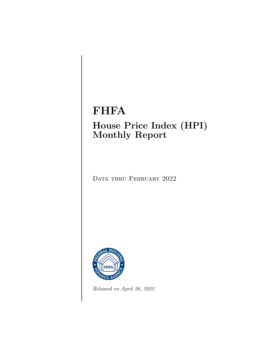### FHFA

### House Price Index (HPI) Monthly Report

DATA THRU FEBRUARY 2022



Released on April 26, 2022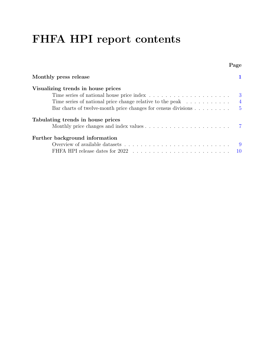## FHFA HPI report contents

|                                                                                   | Page           |
|-----------------------------------------------------------------------------------|----------------|
| Monthly press release                                                             |                |
| Visualizing trends in house prices                                                |                |
|                                                                                   | -3             |
| Time series of national price change relative to the peak                         | $\overline{4}$ |
| Bar charts of twelve-month price changes for census divisions $\dots \dots \dots$ |                |
| Tabulating trends in house prices                                                 |                |
|                                                                                   |                |
| Further background information                                                    |                |
|                                                                                   | -9             |
| FHFA HPI release dates for 2022                                                   | 10             |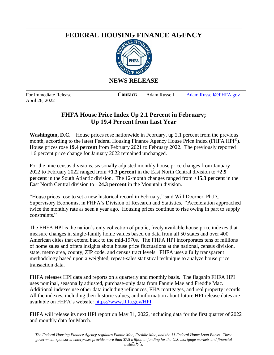#### <span id="page-2-0"></span>**FEDERAL HOUSING FINANCE AGENCY**



April 26, 2022

For Immediate Release **Contact:** Adam Russell Adam.Russell@FHFA.gov

#### **FHFA House Price Index Up 2.1 Percent in February; Up 19.4 Percent from Last Year**

**Washington, D.C.** – House prices rose nationwide in February, up 2.1 percent from the previous month, according to the latest Federal Housing Finance Agency House Price Index (FHFA HPI®). House prices rose **19.4 percent** from February 2021 to February 2022. The previously reported 1.6 percent price change for January 2022 remained unchanged.

For the nine census divisions, seasonally adjusted monthly house price changes from January 2022 to February 2022 ranged from +**1.3 percent** in the East North Central division to +**2.9 percent** in the South Atlantic division. The 12-month changes ranged from +**15.3 percent** in the East North Central division to +**24.3 percent** in the Mountain division.

"House prices rose to set a new historical record in February," said Will Doerner, Ph.D., Supervisory Economist in FHFA's Division of Research and Statistics. "Acceleration approached twice the monthly rate as seen a year ago. Housing prices continue to rise owing in part to supply constraints."

The FHFA HPI is the nation's only collection of public, freely available house price indexes that measure changes in single-family home values based on data from all 50 states and over 400 American cities that extend back to the mid-1970s. The FHFA HPI incorporates tens of millions of home sales and offers insights about house price fluctuations at the national, census division, state, metro area, county, ZIP code, and census tract levels. FHFA uses a fully transparent methodology based upon a weighted, repeat-sales statistical technique to analyze house price transaction data.

FHFA releases HPI data and reports on a quarterly and monthly basis. The flagship FHFA HPI uses nominal, seasonally adjusted, purchase-only data from Fannie Mae and Freddie Mac. Additional indexes use other data including refinances, FHA mortgages, and real property records. All the indexes, including their historic values, and information about future HPI release dates are available on FHFA's website: https://www.fhfa.gov/HPI.

FHFA will release its next HPI report on May 31, 2022, including data for the first quarter of 2022 and monthly data for March.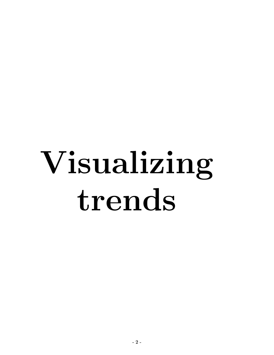# Visualizing trends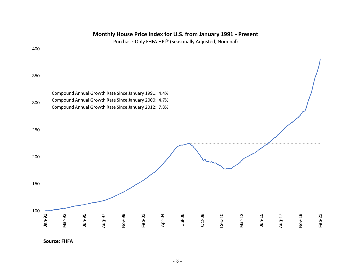#### <span id="page-4-0"></span>**Monthly House Price Index for U.S. from January 1991 - Present**

Purchase-Only FHFA HPI $^\circledast$  (Seasonally Adjusted, Nominal)

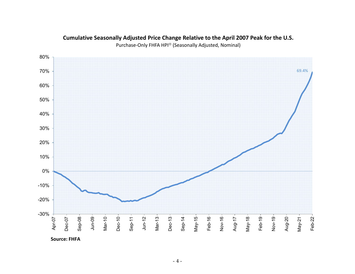

#### <span id="page-5-0"></span>**Cumulative Seasonally Adjusted Price Change Relative to the April 2007 Peak for the U.S.**

Purchase-Only FHFA HPI<sup>®</sup> (Seasonally Adjusted, Nominal)

**Source: FHFA**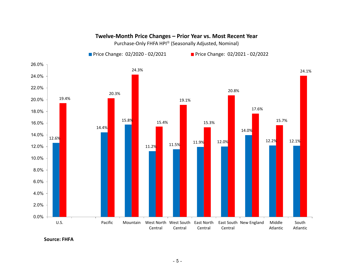

#### <span id="page-6-0"></span>**Twelve‐Month Price Changes – Prior Year vs. Most Recent Year**

Purchase-Only FHFA HPI® (Seasonally Adjusted, Nominal)

**Source: FHFA**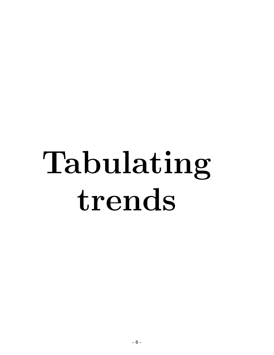# Tabulating trends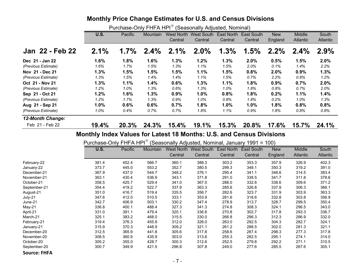#### <span id="page-8-0"></span>**Monthly Price Change Estimates for U.S. and Census Divisions**

Purchase-Only FHFA HPI<sup>®</sup> (Seasonally Adjusted, Nominal)

|                                                                      |                                                                            |         | .        |            | 000001101177010101001, 190111111011 |            |                   |            |               |          |
|----------------------------------------------------------------------|----------------------------------------------------------------------------|---------|----------|------------|-------------------------------------|------------|-------------------|------------|---------------|----------|
|                                                                      | <b>U.S.</b>                                                                | Pacific | Mountain | West North | <b>West South</b>                   | East North | <b>East South</b> | <b>New</b> | <b>Middle</b> | South    |
|                                                                      |                                                                            |         |          | Central    | Central                             | Central    | Central           | England    | Atlantic      | Atlantic |
| Jan 22 - Feb 22                                                      | 2.1%                                                                       | $1.7\%$ | $2.4\%$  | 2.1%       | 2.0%                                | 1.3%       | 1.5%              | $2.2\%$    | $2.4\%$       | 2.9%     |
| Dec 21 - Jan 22                                                      | 1.6%                                                                       | 1.8%    | 1.6%     | 1.3%       | 1.2%                                | 1.3%       | 2.0%              | 0.5%       | 1.5%          | 2.0%     |
| (Previous Estimate)                                                  | 1.6%                                                                       | 1.7%    | 1.5%     | 1.3%       | 1.1%                                | 1.5%       | 2.0%              | 0.1%       | 1.4%          | 2.2%     |
| Nov 21 - Dec 21                                                      | 1.3%                                                                       | 1.5%    | 1.5%     | 1.5%       | 1.1%                                | 1.5%       | 0.8%              | 2.0%       | 0.9%          | 1.3%     |
| (Previous Estimate)                                                  | 1.3%                                                                       | 1.5%    | 1.4%     | 1.4%       | 1.1%                                | 1.5%       | 0.7%              | 2.2%       | 0.8%          | 1.2%     |
| Oct 21 - Nov 21                                                      | 1.3%                                                                       | 1.1%    | 1.4%     | 0.6%       | 1.3%                                | 1.1%       | 1.8%              | 0.9%       | 0.7%          | 2.0%     |
| (Previous Estimate)                                                  | 1.2%                                                                       | 1.0%    | 1.3%     | 0.6%       | 1.3%                                | 1.0%       | 1.8%              | 0.8%       | 0.7%          | 2.0%     |
| Sep 21 - Oct 21                                                      | 1.2%                                                                       | 1.6%    | 1.3%     | 0.9%       | 1.0%                                | 0.8%       | 1.8%              | 0.2%       | 1.1%          | 1.4%     |
| (Previous Estimate)                                                  | 1.2%                                                                       | 1.7%    | 1.3%     | 0.9%       | 1.0%                                | 0.8%       | 1.8%              | 0.2%       | 1.0%          | 1.3%     |
| Aug 21 - Sep 21                                                      | 1.0%                                                                       | 0.6%    | 0.6%     | 0.7%       | 1.8%                                | 1.0%       | 1.0%              | 1.8%       | 0.8%          | 0.8%     |
| (Previous Estimate)                                                  | 1.0%                                                                       | 0.4%    | 0.7%     | 0.7%       | 1.8%                                | $1.1\%$    | 0.9%              | 1.8%       | 0.8%          | 0.8%     |
| <b>12-Month Change:</b>                                              |                                                                            |         |          |            |                                     |            |                   |            |               |          |
| Feb 21 - Feb 22                                                      | 19.4%                                                                      | 20.3%   | 24.3%    | 15.4%      | 19.1%                               | 15.3%      | 20.8%             | 17.6%      | 15.7%         | 24.1%    |
| Monthly Index Values for Latest 18 Months: U.S. and Census Divisions |                                                                            |         |          |            |                                     |            |                   |            |               |          |
|                                                                      | Purchase-Only FHFA HPI® (Seasonally Adjusted, Nominal, January 1991 = 100) |         |          |            |                                     |            |                   |            |               |          |
|                                                                      | U.S.                                                                       | Pacific | Mountain |            | West North West South               | East North | <b>East South</b> | <b>New</b> | <b>Middle</b> | South    |
|                                                                      |                                                                            |         |          | Central    | Central                             | Central    | Central           | England    | Atlantic      | Atlantic |
| February-22                                                          | 381.4                                                                      | 452.4   | 566.7    | 360.1      | 388.3                               | 303.2      | 353.3             | 357.9      | 326.9         | 402.3    |
| January-22                                                           | 373.7                                                                      | 445.0   | 553.2    | 352.7      | 380.5                               | 299.3      | 348.1             | 350.3      | 319.2         | 391.0    |

|              | U.S.  | Pacific | Mountain | West North<br>Central | West South<br>Central | <b>East North</b><br>Central | East South<br>Central | <b>New</b><br>England | Middle<br>Atlantic | South<br>Atlantic |
|--------------|-------|---------|----------|-----------------------|-----------------------|------------------------------|-----------------------|-----------------------|--------------------|-------------------|
| February-22  | 381.4 | 452.4   | 566.7    | 360.1                 | 388.3                 | 303.2                        | 353.3                 | 357.9                 | 326.9              | 402.3             |
| January-22   | 373.7 | 445.0   | 553.2    | 352.7                 | 380.5                 | 299.3                        | 348.1                 | 350.3                 | 319.2              | 391.0             |
| December-21  | 367.9 | 437.0   | 544.7    | 348.2                 | 376.1                 | 295.4                        | 341.1                 | 348.6                 | 314.5              | 383.4             |
| November-21  | 363.1 | 430.4   | 536.9    | 343.1                 | 371.8                 | 291.0                        | 338.5                 | 341.7                 | 311.8              | 378.6             |
| October-21   | 358.5 | 425.7   | 529.4    | 341.0                 | 367.0                 | 288.0                        | 332.6                 | 338.6                 | 309.6              | 371.2             |
| September-21 | 354.4 | 419.2   | 522.7    | 337.9                 | 363.3                 | 285.6                        | 326.8                 | 337.9                 | 306.3              | 366.1             |
| August-21    | 351.0 | 416.7   | 519.4    | 335.5                 | 356.7                 | 282.6                        | 323.7                 | 331.9                 | 303.9              | 363.3             |
| July-21      | 347.6 | 412.0   | 510.5    | 333.1                 | 353.9                 | 281.6                        | 318.6                 | 332.8                 | 303.8              | 356.9             |
| June-21      | 342.7 | 406.9   | 503.1    | 330.2                 | 347.4                 | 278.9                        | 313.7                 | 328.7                 | 299.5              | 350.4             |
| May-21       | 336.8 | 400.1   | 488.4    | 327.3                 | 341.3                 | 274.8                        | 308.3                 | 324.1                 | 296.5              | 343.0             |
| April-21     | 331.0 | 391.1   | 479.4    | 320.1                 | 336.8                 | 270.8                        | 302.7                 | 317.8                 | 293.3              | 336.7             |
| March-21     | 325.1 | 383.2   | 468.0    | 315.5                 | 330.0                 | 266.8                        | 296.3                 | 312.3                 | 286.9              | 332.0             |
| February-21  | 319.4 | 376.3   | 455.9    | 312.0                 | 326.0                 | 263.0                        | 292.5                 | 304.3                 | 282.7              | 324.1             |
| January-21   | 315.9 | 370.3   | 448.9    | 309.2                 | 321.1                 | 261.2                        | 288.5                 | 302.0                 | 281.3              | 321.1             |
| December-20  | 312.5 | 365.9   | 441.8    | 305.6                 | 317.8                 | 258.6                        | 287.4                 | 298.3                 | 277.3              | 317.8             |
| November-20  | 308.5 | 360.9   | 435.9    | 303.0                 | 313.6                 | 255.3                        | 282.5                 | 295.1                 | 274.1              | 314.0             |
| October-20   | 305.2 | 355.0   | 428.7    | 300.3                 | 312.6                 | 252.5                        | 279.8                 | 292.2                 | 271.1              | 310.5             |
| September-20 | 300.7 | 349.9   | 421.5    | 296.8                 | 307.8                 | 249.0                        | 277.6                 | 285.5                 | 267.6              | 305.1             |
| C FLIE A     |       |         |          |                       |                       |                              |                       |                       |                    |                   |

**Source: FHFA**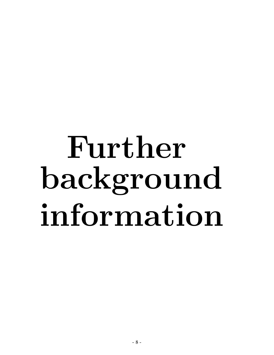## Further background information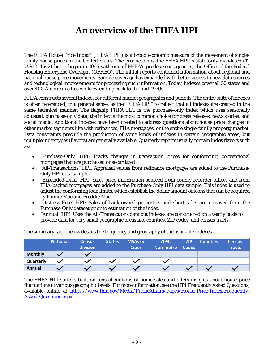### <span id="page-10-0"></span>**An overview of the FHFA HPI**

The FHFA House Price Index<sup>®</sup> (FHFA HPI<sup>®</sup>) is a broad economic measure of the movement of singlefamily house prices in the United States. The production of the FHFA HPI is statutorily mandated (12 U.S.C. 4542) but it began in 1995 with one of FHFA's predecessor agencies, the Office of the Federal Housing Enterprise Oversight (OFHEO). The initial reports contained information about regional and national house price movements. Sample coverage has expanded with better access to new data sources and technological improvements for processing such information. Today, indexes cover all 50 states and over 400 American cities while extending back to the mid-1970s.

FHFA constructs several indexes for different market geographies and periods. The entire suite of indexes is often referenced, in a general sense, as the "FHFA HPI" to reflect that all indexes are created in the same technical manner. The flagship FHFA HPI is the purchase-only index which uses seasonally adjusted, purchase-only data; the index is the most common choice for press releases, news stories, and social media. Additional indexes have been created to address questions about house price changes in other market segments like with refinances, FHA mortgages, or the entire single-family property market. Data constraints preclude the production of some kinds of indexes in certain geographic areas, but multiple index types (flavors) are generally available. Quarterly reports usually contain index flavors such as:

- "Purchase-Only" HPI: Tracks changes in transaction prices for conforming, conventional mortgages that are purchased or securitized.
- "All-Transactions" HPI: Appraisal values from refinance mortgages are added to the Purchase-Only HPI data sample.
- "Expanded-Data" HPI: Sales price information sourced from county recorder offices and from FHA-backed mortgages are added to the Purchase-Only HPI data sample. This index is used to adjust the conforming loan limits, which establish the dollar amount of loans that can be acquired by Fannie Mae and Freddie Mac
- "Distress-Free" HPI: Sales of bank-owned properties and short sales are removed from the Purchase-Only dataset prior to estimation of the index.
- "Annual" HPI. Uses the All-Transactions data but indexes are constructed on a yearly basis to provide data for very small geographic areas like counties, ZIP codes, and census tracts.

|                | <b>National</b> | <b>Census</b><br><b>Division</b> | <b>States</b> | <b>MSAs or</b><br><b>Cities</b> | , ZIP3,<br>Non-metro | <b>ZIP</b><br><b>Codes</b> | <b>Counties</b> | <b>Census</b><br><b>Tracts</b> |
|----------------|-----------------|----------------------------------|---------------|---------------------------------|----------------------|----------------------------|-----------------|--------------------------------|
| <b>Monthly</b> |                 |                                  |               |                                 |                      |                            |                 |                                |
| Quarterly      |                 |                                  |               |                                 |                      |                            |                 |                                |
| Annual         |                 |                                  |               |                                 |                      |                            |                 |                                |

The summary table below details the frequency and geography of the available indexes.

The FHFA HPI suite is built on tens of millions of home sales and offers insights about house price fluctuations at various geographic levels. For more information, see the HPI Frequently Asked Questions, available online at https://www.fhfa.gov/Media/PublicAffairs/Pages/House-Price-Index-Frequently-Asked-Questions.aspx.